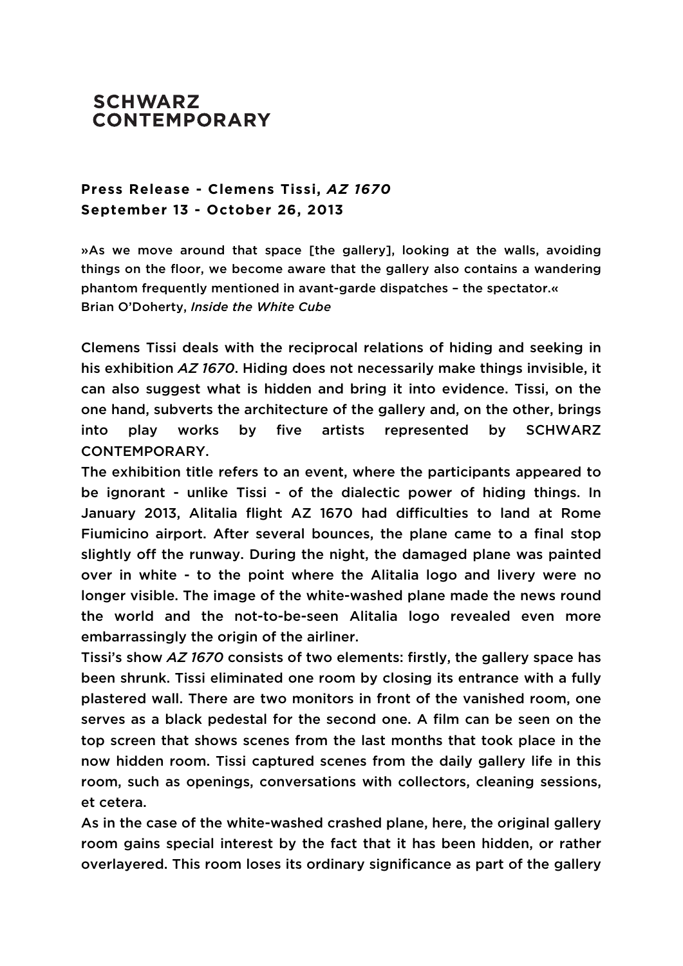## **SCHWARZ CONTEMPORARY**

## **Press Release - Clemens Tissi,** *AZ 1670* **September 13 - October 26, 2013**

»As we move around that space [the gallery], looking at the walls, avoiding things on the floor, we become aware that the gallery also contains a wandering phantom frequently mentioned in avant-garde dispatches – the spectator.« Brian O'Doherty, *Inside the White Cube*

Clemens Tissi deals with the reciprocal relations of hiding and seeking in his exhibition *AZ 1670*. Hiding does not necessarily make things invisible, it can also suggest what is hidden and bring it into evidence. Tissi, on the one hand, subverts the architecture of the gallery and, on the other, brings into play works by five artists represented by SCHWARZ CONTEMPORARY.

The exhibition title refers to an event, where the participants appeared to be ignorant - unlike Tissi - of the dialectic power of hiding things. In January 2013, Alitalia flight AZ 1670 had difficulties to land at Rome Fiumicino airport. After several bounces, the plane came to a final stop slightly off the runway. During the night, the damaged plane was painted over in white - to the point where the Alitalia logo and livery were no longer visible. The image of the white-washed plane made the news round the world and the not-to-be-seen Alitalia logo revealed even more embarrassingly the origin of the airliner.

Tissi's show *AZ 1670* consists of two elements: firstly, the gallery space has been shrunk. Tissi eliminated one room by closing its entrance with a fully plastered wall. There are two monitors in front of the vanished room, one serves as a black pedestal for the second one. A film can be seen on the top screen that shows scenes from the last months that took place in the now hidden room. Tissi captured scenes from the daily gallery life in this room, such as openings, conversations with collectors, cleaning sessions, et cetera.

As in the case of the white-washed crashed plane, here, the original gallery room gains special interest by the fact that it has been hidden, or rather overlayered. This room loses its ordinary significance as part of the gallery